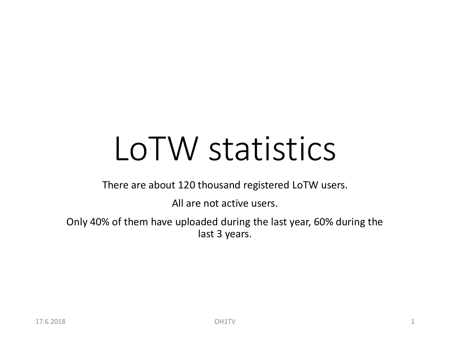## LoTW statistics

There are about 120 thousand registered LoTW users.

All are not active users.

Only 40% of them have uploaded during the last year, 60% during the last 3 years.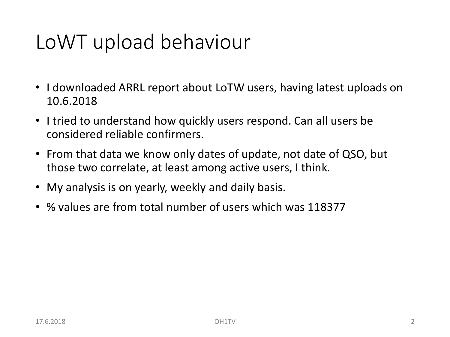## LoWT upload behaviour

- I downloaded ARRL report about LoTW users, having latest uploads on 10.6.2018
- I tried to understand how quickly users respond. Can all users be considered reliable confirmers.
- From that data we know only dates of update, not date of QSO, but those two correlate, at least among active users, I think.
- My analysis is on yearly, weekly and daily basis.
- % values are from total number of users which was 118377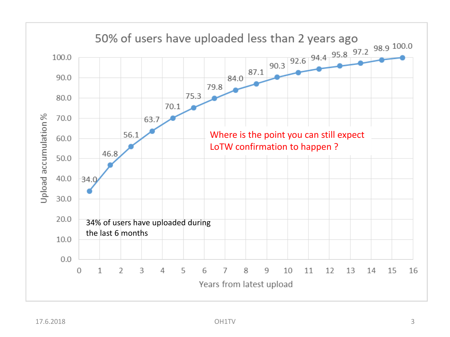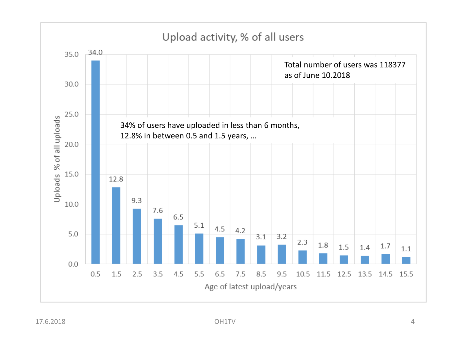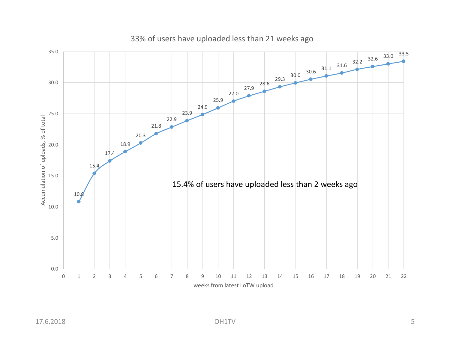

## 33% of users have uploaded less than 21 weeks ago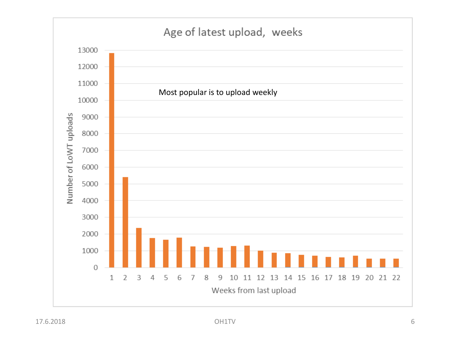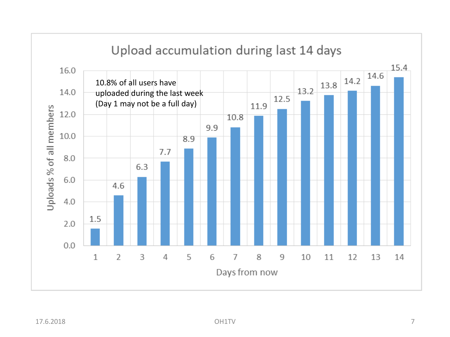